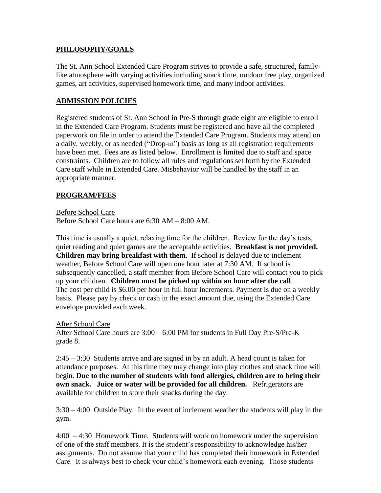#### **PHILOSOPHY/GOALS**

The St. Ann School Extended Care Program strives to provide a safe, structured, familylike atmosphere with varying activities including snack time, outdoor free play, organized games, art activities, supervised homework time, and many indoor activities.

#### **ADMISSION POLICIES**

Registered students of St. Ann School in Pre-S through grade eight are eligible to enroll in the Extended Care Program. Students must be registered and have all the completed paperwork on file in order to attend the Extended Care Program. Students may attend on a daily, weekly, or as needed ("Drop-in") basis as long as all registration requirements have been met. Fees are as listed below. Enrollment is limited due to staff and space constraints. Children are to follow all rules and regulations set forth by the Extended Care staff while in Extended Care. Misbehavior will be handled by the staff in an appropriate manner.

#### **PROGRAM/FEES**

Before School Care Before School Care hours are 6:30 AM – 8:00 AM.

This time is usually a quiet, relaxing time for the children. Review for the day's tests, quiet reading and quiet games are the acceptable activities. **Breakfast is not provided. Children may bring breakfast with them**. If school is delayed due to inclement weather, Before School Care will open one hour later at 7:30 AM. If school is subsequently cancelled, a staff member from Before School Care will contact you to pick up your children. **Children must be picked up within an hour after the call**. The cost per child is \$6.00 per hour in full hour increments. Payment is due on a weekly basis. Please pay by check or cash in the exact amount due, using the Extended Care envelope provided each week.

#### After School Care

After School Care hours are 3:00 – 6:00 PM for students in Full Day Pre-S/Pre-K – grade 8.

2:45 – 3:30 Students arrive and are signed in by an adult. A head count is taken for attendance purposes. At this time they may change into play clothes and snack time will begin. **Due to the number of students with food allergies, children are to bring their own snack. Juice or water will be provided for all children.** Refrigerators are available for children to store their snacks during the day.

3:30 – 4:00 Outside Play. In the event of inclement weather the students will play in the gym.

4:00 – 4:30 Homework Time. Students will work on homework under the supervision of one of the staff members. It is the student's responsibility to acknowledge his/her assignments. Do not assume that your child has completed their homework in Extended Care. It is always best to check your child's homework each evening. Those students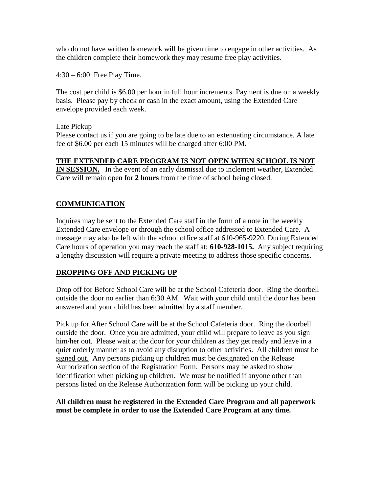who do not have written homework will be given time to engage in other activities. As the children complete their homework they may resume free play activities.

4:30 – 6:00 Free Play Time.

The cost per child is \$6.00 per hour in full hour increments. Payment is due on a weekly basis. Please pay by check or cash in the exact amount, using the Extended Care envelope provided each week.

#### Late Pickup

Please contact us if you are going to be late due to an extenuating circumstance. A late fee of \$6.00 per each 15 minutes will be charged after 6:00 PM**.**

# **THE EXTENDED CARE PROGRAM IS NOT OPEN WHEN SCHOOL IS NOT**

**IN SESSION.** In the event of an early dismissal due to inclement weather, Extended Care will remain open for **2 hours** from the time of school being closed.

# **COMMUNICATION**

Inquires may be sent to the Extended Care staff in the form of a note in the weekly Extended Care envelope or through the school office addressed to Extended Care. A message may also be left with the school office staff at 610-965-9220. During Extended Care hours of operation you may reach the staff at: **610-928-1015.** Any subject requiring a lengthy discussion will require a private meeting to address those specific concerns.

### **DROPPING OFF AND PICKING UP**

Drop off for Before School Care will be at the School Cafeteria door. Ring the doorbell outside the door no earlier than 6:30 AM. Wait with your child until the door has been answered and your child has been admitted by a staff member.

Pick up for After School Care will be at the School Cafeteria door. Ring the doorbell outside the door. Once you are admitted, your child will prepare to leave as you sign him/her out. Please wait at the door for your children as they get ready and leave in a quiet orderly manner as to avoid any disruption to other activities. All children must be signed out. Any persons picking up children must be designated on the Release Authorization section of the Registration Form. Persons may be asked to show identification when picking up children. We must be notified if anyone other than persons listed on the Release Authorization form will be picking up your child.

### **All children must be registered in the Extended Care Program and all paperwork must be complete in order to use the Extended Care Program at any time.**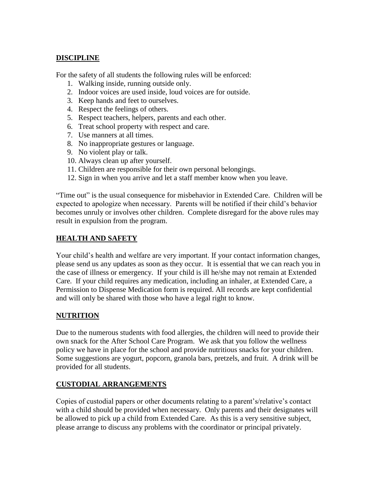### **DISCIPLINE**

For the safety of all students the following rules will be enforced:

- 1. Walking inside, running outside only.
- 2. Indoor voices are used inside, loud voices are for outside.
- 3. Keep hands and feet to ourselves.
- 4. Respect the feelings of others.
- 5. Respect teachers, helpers, parents and each other.
- 6. Treat school property with respect and care.
- 7. Use manners at all times.
- 8. No inappropriate gestures or language.
- 9. No violent play or talk.
- 10. Always clean up after yourself.
- 11. Children are responsible for their own personal belongings.
- 12. Sign in when you arrive and let a staff member know when you leave.

"Time out" is the usual consequence for misbehavior in Extended Care. Children will be expected to apologize when necessary. Parents will be notified if their child's behavior becomes unruly or involves other children. Complete disregard for the above rules may result in expulsion from the program.

### **HEALTH AND SAFETY**

Your child's health and welfare are very important. If your contact information changes, please send us any updates as soon as they occur. It is essential that we can reach you in the case of illness or emergency. If your child is ill he/she may not remain at Extended Care. If your child requires any medication, including an inhaler, at Extended Care, a Permission to Dispense Medication form is required. All records are kept confidential and will only be shared with those who have a legal right to know.

### **NUTRITION**

Due to the numerous students with food allergies, the children will need to provide their own snack for the After School Care Program. We ask that you follow the wellness policy we have in place for the school and provide nutritious snacks for your children. Some suggestions are yogurt, popcorn, granola bars, pretzels, and fruit. A drink will be provided for all students.

### **CUSTODIAL ARRANGEMENTS**

Copies of custodial papers or other documents relating to a parent's/relative's contact with a child should be provided when necessary. Only parents and their designates will be allowed to pick up a child from Extended Care. As this is a very sensitive subject, please arrange to discuss any problems with the coordinator or principal privately.